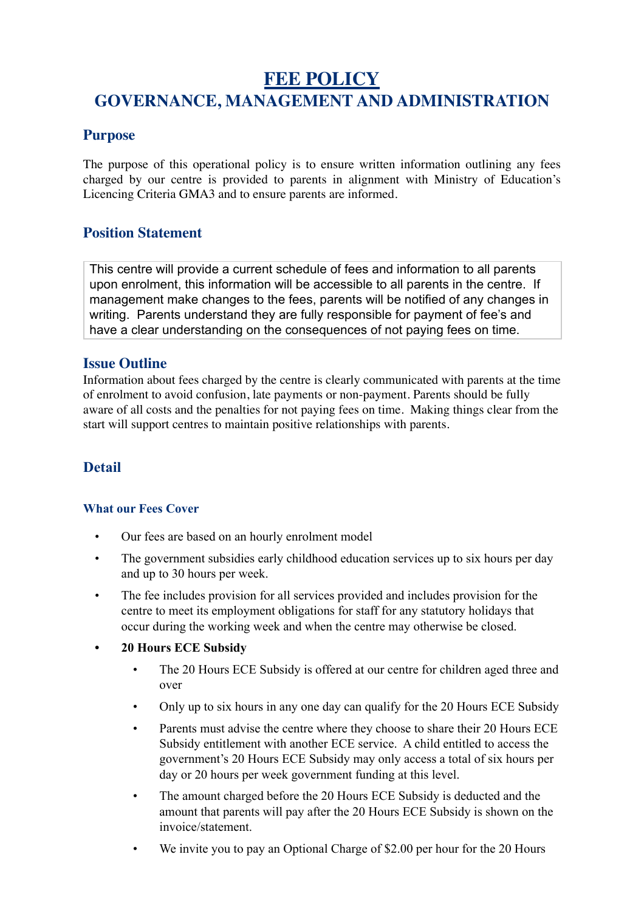# **FEE POLICY GOVERNANCE, MANAGEMENT AND ADMINISTRATION**

## **Purpose**

The purpose of this operational policy is to ensure written information outlining any fees charged by our centre is provided to parents in alignment with Ministry of Education's Licencing Criteria GMA3 and to ensure parents are informed.

#### **Position Statement**

This centre will provide a current schedule of fees and information to all parents upon enrolment, this information will be accessible to all parents in the centre. If management make changes to the fees, parents will be notified of any changes in writing. Parents understand they are fully responsible for payment of fee's and have a clear understanding on the consequences of not paying fees on time.

#### **Issue Outline**

Information about fees charged by the centre is clearly communicated with parents at the time of enrolment to avoid confusion, late payments or non-payment. Parents should be fully aware of all costs and the penalties for not paying fees on time. Making things clear from the start will support centres to maintain positive relationships with parents.

## **Detail**

#### **What our Fees Cover**

- Our fees are based on an hourly enrolment model
- The government subsidies early childhood education services up to six hours per day and up to 30 hours per week.
- The fee includes provision for all services provided and includes provision for the centre to meet its employment obligations for staff for any statutory holidays that occur during the working week and when the centre may otherwise be closed.

#### **• 20 Hours ECE Subsidy**

- The 20 Hours ECE Subsidy is offered at our centre for children aged three and over
- Only up to six hours in any one day can qualify for the 20 Hours ECE Subsidy
- Parents must advise the centre where they choose to share their 20 Hours ECE Subsidy entitlement with another ECE service. A child entitled to access the government's 20 Hours ECE Subsidy may only access a total of six hours per day or 20 hours per week government funding at this level.
- The amount charged before the 20 Hours ECE Subsidy is deducted and the amount that parents will pay after the 20 Hours ECE Subsidy is shown on the invoice/statement.
- We invite you to pay an Optional Charge of \$2.00 per hour for the 20 Hours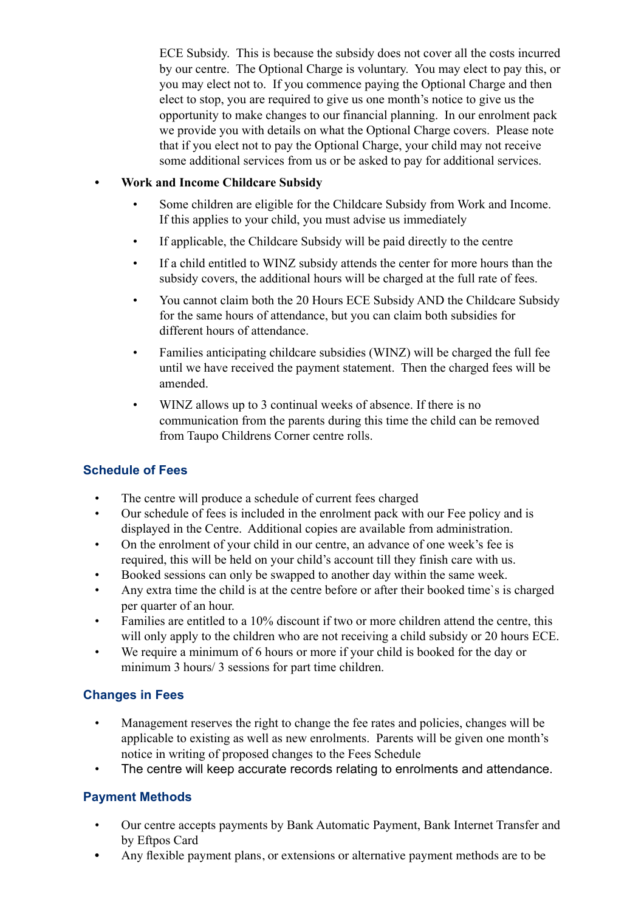ECE Subsidy. This is because the subsidy does not cover all the costs incurred by our centre. The Optional Charge is voluntary. You may elect to pay this, or you may elect not to. If you commence paying the Optional Charge and then elect to stop, you are required to give us one month's notice to give us the opportunity to make changes to our financial planning. In our enrolment pack we provide you with details on what the Optional Charge covers. Please note that if you elect not to pay the Optional Charge, your child may not receive some additional services from us or be asked to pay for additional services.

#### **• Work and Income Childcare Subsidy**

- Some children are eligible for the Childcare Subsidy from Work and Income. If this applies to your child, you must advise us immediately
- If applicable, the Childcare Subsidy will be paid directly to the centre
- If a child entitled to WINZ subsidy attends the center for more hours than the subsidy covers, the additional hours will be charged at the full rate of fees.
- You cannot claim both the 20 Hours ECE Subsidy AND the Childcare Subsidy for the same hours of attendance, but you can claim both subsidies for different hours of attendance.
- Families anticipating childcare subsidies (WINZ) will be charged the full fee until we have received the payment statement. Then the charged fees will be amended.
- WINZ allows up to 3 continual weeks of absence. If there is no communication from the parents during this time the child can be removed from Taupo Childrens Corner centre rolls.

## **Schedule of Fees**

- The centre will produce a schedule of current fees charged
- Our schedule of fees is included in the enrolment pack with our Fee policy and is displayed in the Centre. Additional copies are available from administration.
- On the enrolment of your child in our centre, an advance of one week's fee is required, this will be held on your child's account till they finish care with us.
- Booked sessions can only be swapped to another day within the same week.
- Any extra time the child is at the centre before or after their booked time`s is charged per quarter of an hour.
- Families are entitled to a 10% discount if two or more children attend the centre, this will only apply to the children who are not receiving a child subsidy or 20 hours ECE.
- We require a minimum of 6 hours or more if your child is booked for the day or minimum 3 hours/ 3 sessions for part time children.

## **Changes in Fees**

- Management reserves the right to change the fee rates and policies, changes will be applicable to existing as well as new enrolments. Parents will be given one month's notice in writing of proposed changes to the Fees Schedule
- The centre will keep accurate records relating to enrolments and attendance.

## **Payment Methods**

- Our centre accepts payments by Bank Automatic Payment, Bank Internet Transfer and by Eftpos Card
- Any flexible payment plans, or extensions or alternative payment methods are to be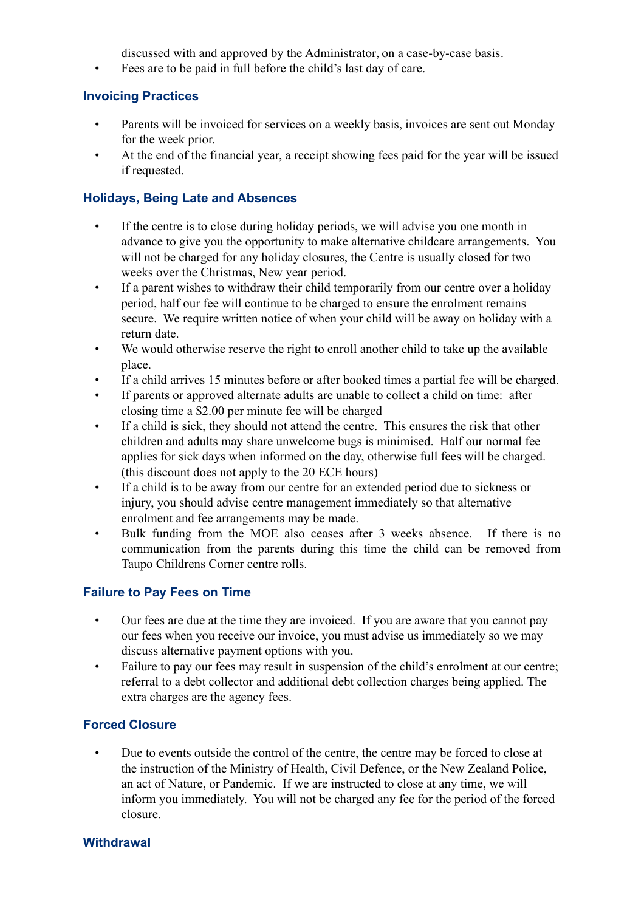discussed with and approved by the Administrator, on a case-by-case basis.

• Fees are to be paid in full before the child's last day of care.

#### **Invoicing Practices**

- Parents will be invoiced for services on a weekly basis, invoices are sent out Monday for the week prior.
- At the end of the financial year, a receipt showing fees paid for the year will be issued if requested.

#### **Holidays, Being Late and Absences**

- If the centre is to close during holiday periods, we will advise you one month in advance to give you the opportunity to make alternative childcare arrangements. You will not be charged for any holiday closures, the Centre is usually closed for two weeks over the Christmas, New year period.
- If a parent wishes to withdraw their child temporarily from our centre over a holiday period, half our fee will continue to be charged to ensure the enrolment remains secure. We require written notice of when your child will be away on holiday with a return date.
- We would otherwise reserve the right to enroll another child to take up the available place.
- If a child arrives 15 minutes before or after booked times a partial fee will be charged.
- If parents or approved alternate adults are unable to collect a child on time: after closing time a \$2.00 per minute fee will be charged
- If a child is sick, they should not attend the centre. This ensures the risk that other children and adults may share unwelcome bugs is minimised. Half our normal fee applies for sick days when informed on the day, otherwise full fees will be charged. (this discount does not apply to the 20 ECE hours)
- If a child is to be away from our centre for an extended period due to sickness or injury, you should advise centre management immediately so that alternative enrolment and fee arrangements may be made.
- Bulk funding from the MOE also ceases after 3 weeks absence. If there is no communication from the parents during this time the child can be removed from Taupo Childrens Corner centre rolls.

## **Failure to Pay Fees on Time**

- Our fees are due at the time they are invoiced. If you are aware that you cannot pay our fees when you receive our invoice, you must advise us immediately so we may discuss alternative payment options with you.
- Failure to pay our fees may result in suspension of the child's enrolment at our centre; referral to a debt collector and additional debt collection charges being applied. The extra charges are the agency fees.

## **Forced Closure**

• Due to events outside the control of the centre, the centre may be forced to close at the instruction of the Ministry of Health, Civil Defence, or the New Zealand Police, an act of Nature, or Pandemic. If we are instructed to close at any time, we will inform you immediately. You will not be charged any fee for the period of the forced closure.

#### **Withdrawal**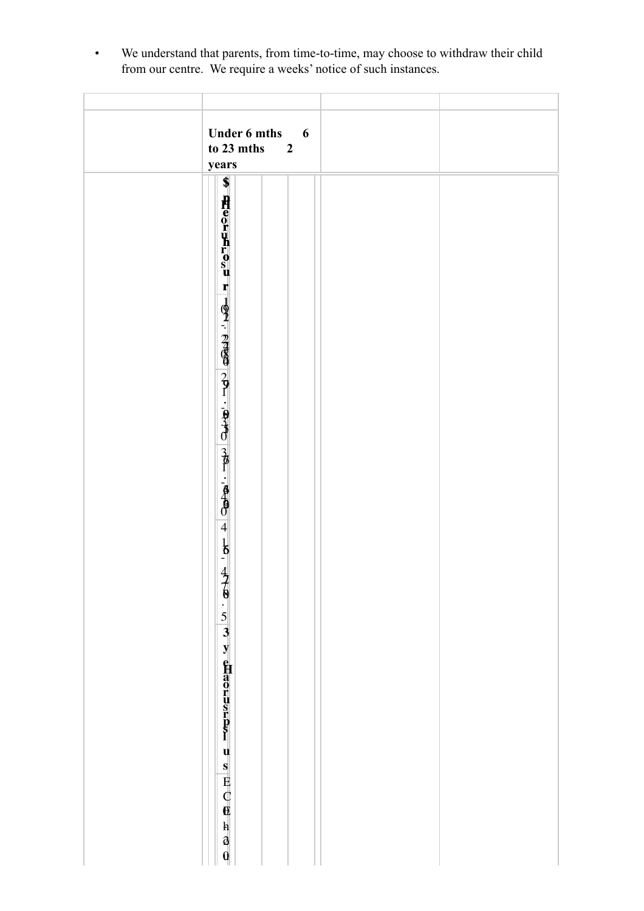| <b>Under 6 mths</b><br>6<br>to 23 mths<br>$\overline{2}$<br>years<br>\$<br>Heoruhrosu<br>$\mathbf{r}$<br>$\frac{1}{2}$ $\frac{1}{2}$ $\frac{1}{2}$ $\frac{1}{2}$ $\frac{1}{2}$ $\frac{1}{2}$ $\frac{1}{2}$ $\frac{1}{2}$ $\frac{1}{2}$ $\frac{1}{2}$ $\frac{1}{2}$ $\frac{1}{2}$ $\frac{1}{2}$ $\frac{1}{2}$ $\frac{1}{2}$ $\frac{1}{2}$ $\frac{1}{2}$ $\frac{1}{2}$ $\frac{1}{2}$ $\frac{1}{2}$ $\frac{1}{2}$ $\frac{1}{2}$<br>$\overline{4}$<br>16. 478. 5 3 y \$Haorusrps1<br>$\begin{array}{c} \mathbf{u} \\ \mathbf{s} \\ \hline \mathbf{E} \\ \mathbf{C} \\ \hline \mathbf{0} \end{array}$ |                                                    |  |
|--------------------------------------------------------------------------------------------------------------------------------------------------------------------------------------------------------------------------------------------------------------------------------------------------------------------------------------------------------------------------------------------------------------------------------------------------------------------------------------------------------------------------------------------------------------------------------------------------|----------------------------------------------------|--|
|                                                                                                                                                                                                                                                                                                                                                                                                                                                                                                                                                                                                  |                                                    |  |
|                                                                                                                                                                                                                                                                                                                                                                                                                                                                                                                                                                                                  | $\begin{bmatrix} h \\ \partial \\ 0 \end{bmatrix}$ |  |

• We understand that parents, from time-to-time, may choose to withdraw their child from our centre. We require a weeks' notice of such instances.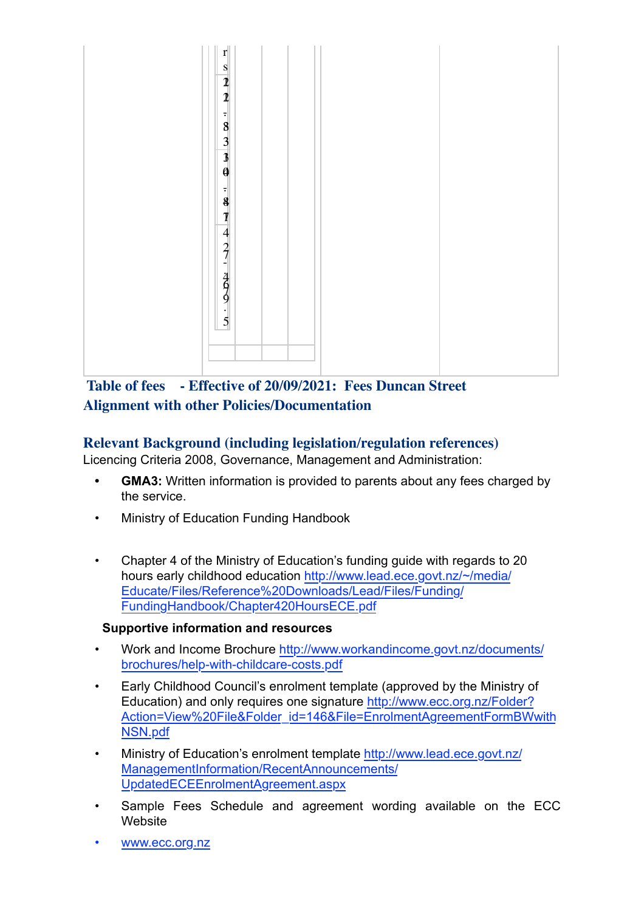

# **Table of fees - Effective of 20/09/2021: Fees Duncan Street Alignment with other Policies/Documentation**

# **Relevant Background (including legislation/regulation references)**

Licencing Criteria 2008, Governance, Management and Administration:

- **GMA3:** Written information is provided to parents about any fees charged by the service.
- Ministry of Education Funding Handbook
- Chapter 4 of the Ministry of Education's funding guide with regards to 20 hours early childhood education http://www.lead.ece.govt.nz/~/media/ Educate/Files/Reference%20Downloads/Lead/Files/Funding/ FundingHandbook/Chapter420HoursECE.pdf

## **Supportive information and resources**

- Work and Income Brochure http://www.workandincome.govt.nz/documents/ brochures/help-with-childcare-costs.pdf
- Early Childhood Council's enrolment template (approved by the Ministry of Education) and only requires one signature http://www.ecc.org.nz/Folder? Action=View%20File&Folder\_id=146&File=EnrolmentAgreementFormBWwith NSN.pdf
- Ministry of Education's enrolment template http://www.lead.ece.govt.nz/ ManagementInformation/RecentAnnouncements/ UpdatedECEEnrolmentAgreement.aspx
- Sample Fees Schedule and agreement wording available on the ECC Website
- www.ecc.org.nz